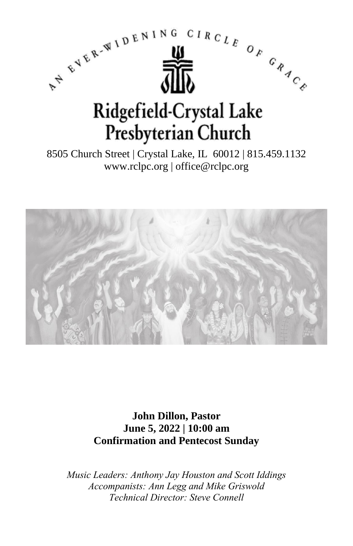

8505 Church Street | Crystal Lake, IL 60012 | 815.459.1132 www.rclpc.org | office@rclpc.org



**John Dillon, Pastor June 5, 2022 | 10:00 am Confirmation and Pentecost Sunday**

*Music Leaders: Anthony Jay Houston and Scott Iddings Accompanists: Ann Legg and Mike Griswold Technical Director: Steve Connell*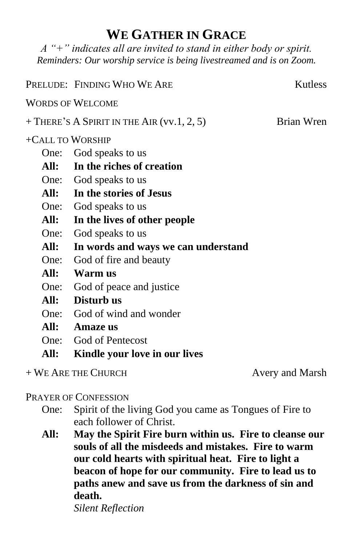# **WE GATHER IN GRACE**

*A "+" indicates all are invited to stand in either body or spirit. Reminders: Our worship service is being livestreamed and is on Zoom.*

|                  | PRELUDE: FINDING WHO WE ARE                  | <b>Kutless</b> |
|------------------|----------------------------------------------|----------------|
|                  | <b>WORDS OF WELCOME</b>                      |                |
|                  | $+$ There's A Spirit in the Air (vv.1, 2, 5) | Brian Wren     |
| +CALL TO WORSHIP |                                              |                |
|                  | One: God speaks to us                        |                |
|                  | All: In the riches of creation               |                |
|                  | One: God speaks to us                        |                |
|                  | All: In the stories of Jesus                 |                |
|                  | One: God speaks to us                        |                |
| All:             | In the lives of other people                 |                |
| One:             | God speaks to us                             |                |
| All:             | In words and ways we can understand          |                |
| One:             | God of fire and beauty                       |                |
|                  | All: Warm us                                 |                |
| One:             | God of peace and justice                     |                |
| All:             | Disturb us                                   |                |
|                  | One: God of wind and wonder                  |                |
| All:             | <b>Amaze</b> us                              |                |
| One:             | God of Pentecost                             |                |
| All:             | Kindle your love in our lives                |                |

+ WE ARE THE CHURCH Avery and Marsh

#### PRAYER OF CONFESSION

- One: Spirit of the living God you came as Tongues of Fire to each follower of Christ.
- **All: May the Spirit Fire burn within us. Fire to cleanse our souls of all the misdeeds and mistakes. Fire to warm our cold hearts with spiritual heat. Fire to light a beacon of hope for our community. Fire to lead us to paths anew and save us from the darkness of sin and death.** *Silent Reflection*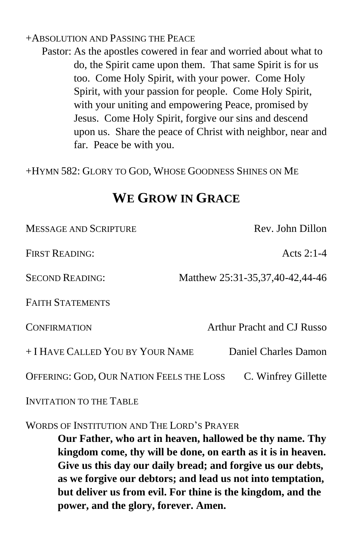#### +ABSOLUTION AND PASSING THE PEACE

Pastor: As the apostles cowered in fear and worried about what to do, the Spirit came upon them. That same Spirit is for us too. Come Holy Spirit, with your power. Come Holy Spirit, with your passion for people. Come Holy Spirit, with your uniting and empowering Peace, promised by Jesus. Come Holy Spirit, forgive our sins and descend upon us. Share the peace of Christ with neighbor, near and far. Peace be with you.

+HYMN 582: GLORY TO GOD, WHOSE GOODNESS SHINES ON ME

# **WE GROW IN GRACE**

| <b>MESSAGE AND SCRIPTURE</b>             | Rev. John Dillon                |  |
|------------------------------------------|---------------------------------|--|
| <b>FIRST READING:</b>                    | Acts 2:1-4                      |  |
| <b>SECOND READING:</b>                   | Matthew 25:31-35,37,40-42,44-46 |  |
| <b>FAITH STATEMENTS</b>                  |                                 |  |
| <b>CONFIRMATION</b>                      | Arthur Pracht and CJ Russo      |  |
| + I HAVE CALLED YOU BY YOUR NAME         | Daniel Charles Damon            |  |
| OFFERING: GOD, OUR NATION FEELS THE LOSS | C. Winfrey Gillette             |  |
| INVITATION TO THE TABLE                  |                                 |  |

WORDS OF INSTITUTION AND THE LORD'S PRAYER

**Our Father, who art in heaven, hallowed be thy name. Thy kingdom come, thy will be done, on earth as it is in heaven. Give us this day our daily bread; and forgive us our debts, as we forgive our debtors; and lead us not into temptation, but deliver us from evil. For thine is the kingdom, and the power, and the glory, forever. Amen.**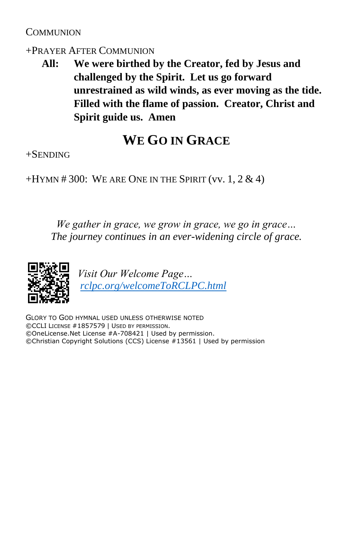### **COMMUNION**

#### +PRAYER AFTER COMMUNION

**All: We were birthed by the Creator, fed by Jesus and challenged by the Spirit. Let us go forward unrestrained as wild winds, as ever moving as the tide. Filled with the flame of passion. Creator, Christ and Spirit guide us. Amen**

# **WE GO IN GRACE**

+SENDING

 $+HYMN \# 300$ : WE ARE ONE IN THE SPIRIT (vv. 1, 2 & 4)

*We gather in grace, we grow in grace, we go in grace… The journey continues in an ever-widening circle of grace.*



*Visit Our Welcome Page… [rclpc.org/welcomeToRCLPC.html](http://rclpc.org/welcomeToRCLPC.html)*

GLORY TO GOD HYMNAL USED UNLESS OTHERWISE NOTED ©CCLI LICENSE #1857579 | USED BY PERMISSION. ©OneLicense.Net License #A-708421 | Used by permission. ©Christian Copyright Solutions (CCS) License #13561 | Used by permission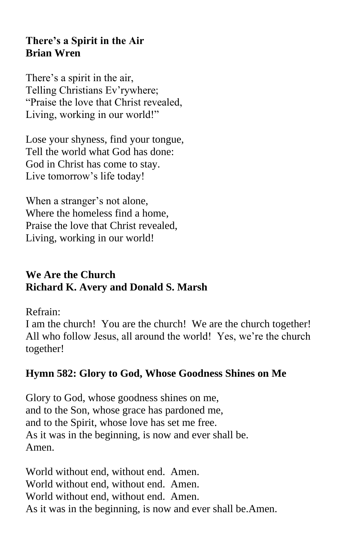### **There's a Spirit in the Air Brian Wren**

There's a spirit in the air, Telling Christians Ev'rywhere; "Praise the love that Christ revealed, Living, working in our world!"

Lose your shyness, find your tongue, Tell the world what God has done: God in Christ has come to stay. Live tomorrow's life today!

When a stranger's not alone, Where the homeless find a home, Praise the love that Christ revealed, Living, working in our world!

## **We Are the Church Richard K. Avery and Donald S. Marsh**

Refrain:

I am the church! You are the church! We are the church together! All who follow Jesus, all around the world! Yes, we're the church together!

# **Hymn 582: Glory to God, Whose Goodness Shines on Me**

Glory to God, whose goodness shines on me, and to the Son, whose grace has pardoned me, and to the Spirit, whose love has set me free. As it was in the beginning, is now and ever shall be. Amen.

World without end, without end. Amen. World without end, without end. Amen. World without end, without end. Amen. As it was in the beginning, is now and ever shall be.Amen.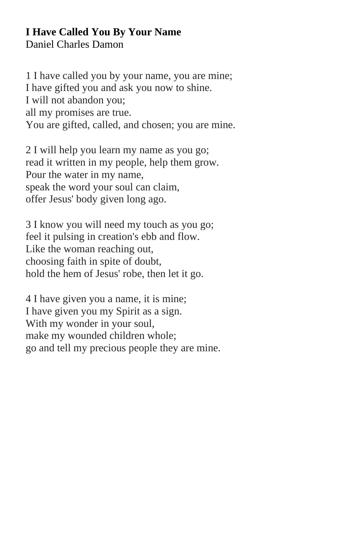#### **I Have Called You By Your Name** Daniel Charles Damon

1 I have called you by your name, you are mine; I have gifted you and ask you now to shine. I will not abandon you; all my promises are true. You are gifted, called, and chosen; you are mine.

2 I will help you learn my name as you go; read it written in my people, help them grow. Pour the water in my name, speak the word your soul can claim, offer Jesus' body given long ago.

3 I know you will need my touch as you go; feel it pulsing in creation's ebb and flow. Like the woman reaching out, choosing faith in spite of doubt, hold the hem of Jesus' robe, then let it go.

4 I have given you a name, it is mine; I have given you my Spirit as a sign. With my wonder in your soul, make my wounded children whole; go and tell my precious people they are mine.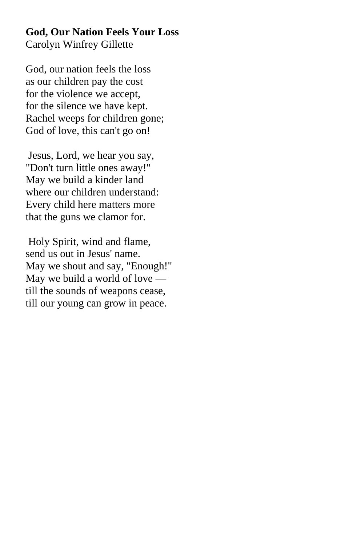### **God, Our Nation Feels Your Loss** Carolyn Winfrey Gillette

God, our nation feels the loss as our children pay the cost for the violence we accept, for the silence we have kept. Rachel weeps for children gone; God of love, this can't go on!

Jesus, Lord, we hear you say, "Don't turn little ones away!" May we build a kinder land where our children understand: Every child here matters more that the guns we clamor for.

Holy Spirit, wind and flame, send us out in Jesus' name. May we shout and say, "Enough!" May we build a world of love till the sounds of weapons cease, till our young can grow in peace.